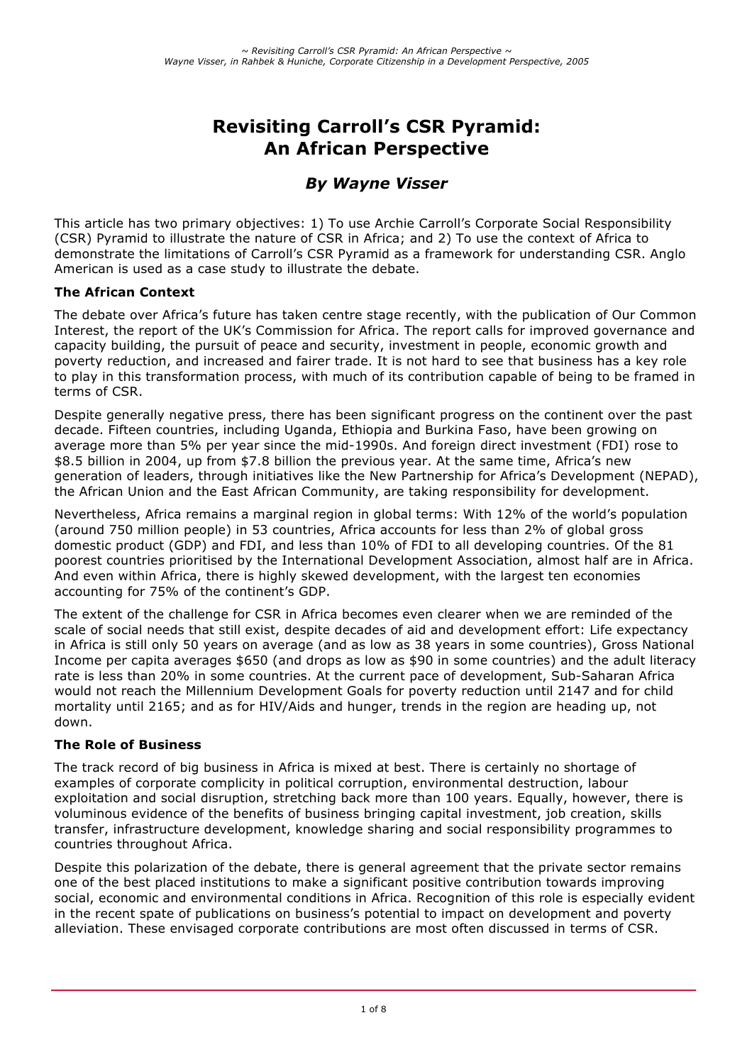# **Revisiting Carroll's CSR Pyramid: An African Perspective**

## *By Wayne Visser*

This article has two primary objectives: 1) To use Archie Carroll's Corporate Social Responsibility (CSR) Pyramid to illustrate the nature of CSR in Africa; and 2) To use the context of Africa to demonstrate the limitations of Carroll's CSR Pyramid as a framework for understanding CSR. Anglo American is used as a case study to illustrate the debate.

#### **The African Context**

The debate over Africa's future has taken centre stage recently, with the publication of Our Common Interest, the report of the UK's Commission for Africa. The report calls for improved governance and capacity building, the pursuit of peace and security, investment in people, economic growth and poverty reduction, and increased and fairer trade. It is not hard to see that business has a key role to play in this transformation process, with much of its contribution capable of being to be framed in terms of CSR.

Despite generally negative press, there has been significant progress on the continent over the past decade. Fifteen countries, including Uganda, Ethiopia and Burkina Faso, have been growing on average more than 5% per year since the mid-1990s. And foreign direct investment (FDI) rose to \$8.5 billion in 2004, up from \$7.8 billion the previous year. At the same time, Africa's new generation of leaders, through initiatives like the New Partnership for Africa's Development (NEPAD), the African Union and the East African Community, are taking responsibility for development.

Nevertheless, Africa remains a marginal region in global terms: With 12% of the world's population (around 750 million people) in 53 countries, Africa accounts for less than 2% of global gross domestic product (GDP) and FDI, and less than 10% of FDI to all developing countries. Of the 81 poorest countries prioritised by the International Development Association, almost half are in Africa. And even within Africa, there is highly skewed development, with the largest ten economies accounting for 75% of the continent's GDP.

The extent of the challenge for CSR in Africa becomes even clearer when we are reminded of the scale of social needs that still exist, despite decades of aid and development effort: Life expectancy in Africa is still only 50 years on average (and as low as 38 years in some countries), Gross National Income per capita averages \$650 (and drops as low as \$90 in some countries) and the adult literacy rate is less than 20% in some countries. At the current pace of development, Sub-Saharan Africa would not reach the Millennium Development Goals for poverty reduction until 2147 and for child mortality until 2165; and as for HIV/Aids and hunger, trends in the region are heading up, not down.

#### **The Role of Business**

The track record of big business in Africa is mixed at best. There is certainly no shortage of examples of corporate complicity in political corruption, environmental destruction, labour exploitation and social disruption, stretching back more than 100 years. Equally, however, there is voluminous evidence of the benefits of business bringing capital investment, job creation, skills transfer, infrastructure development, knowledge sharing and social responsibility programmes to countries throughout Africa.

Despite this polarization of the debate, there is general agreement that the private sector remains one of the best placed institutions to make a significant positive contribution towards improving social, economic and environmental conditions in Africa. Recognition of this role is especially evident in the recent spate of publications on business's potential to impact on development and poverty alleviation. These envisaged corporate contributions are most often discussed in terms of CSR.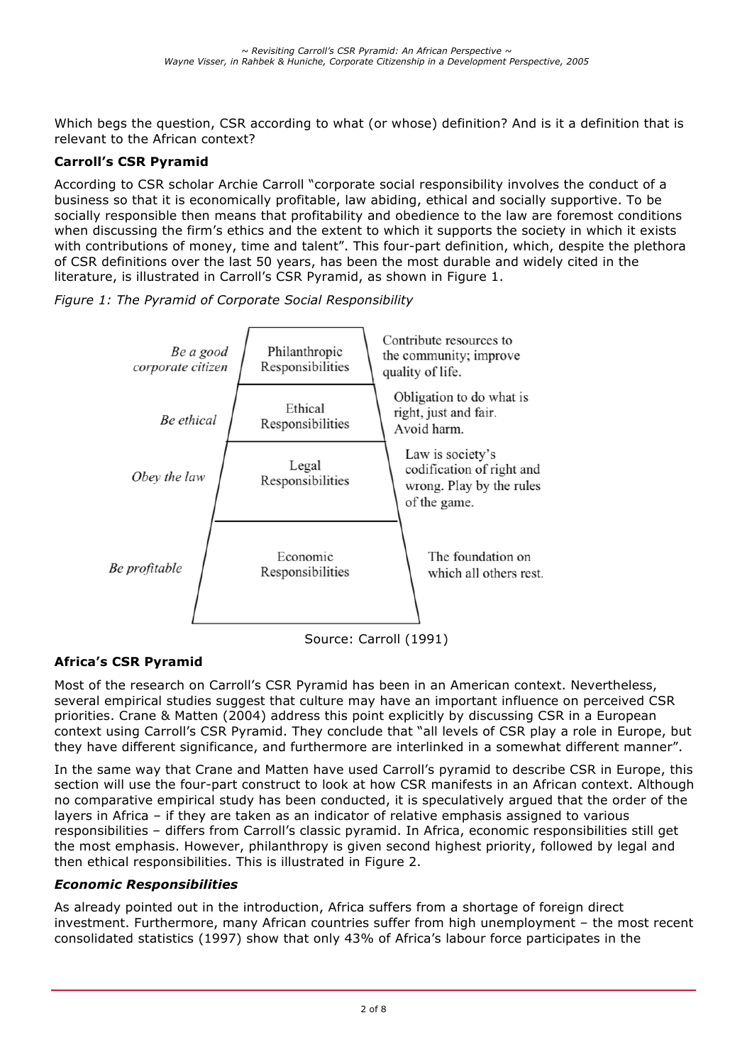Which begs the question, CSR according to what (or whose) definition? And is it a definition that is relevant to the African context?

## **Carroll's CSR Pyramid**

According to CSR scholar Archie Carroll "corporate social responsibility involves the conduct of a business so that it is economically profitable, law abiding, ethical and socially supportive. To be socially responsible then means that profitability and obedience to the law are foremost conditions when discussing the firm's ethics and the extent to which it supports the society in which it exists with contributions of money, time and talent". This four-part definition, which, despite the plethora of CSR definitions over the last 50 years, has been the most durable and widely cited in the literature, is illustrated in Carroll's CSR Pyramid, as shown in Figure 1.





## **Africa's CSR Pyramid**

Most of the research on Carroll's CSR Pyramid has been in an American context. Nevertheless, several empirical studies suggest that culture may have an important influence on perceived CSR priorities. Crane & Matten (2004) address this point explicitly by discussing CSR in a European context using Carroll's CSR Pyramid. They conclude that "all levels of CSR play a role in Europe, but they have different significance, and furthermore are interlinked in a somewhat different manner".

In the same way that Crane and Matten have used Carroll's pyramid to describe CSR in Europe, this section will use the four-part construct to look at how CSR manifests in an African context. Although no comparative empirical study has been conducted, it is speculatively argued that the order of the layers in Africa – if they are taken as an indicator of relative emphasis assigned to various responsibilities – differs from Carroll's classic pyramid. In Africa, economic responsibilities still get the most emphasis. However, philanthropy is given second highest priority, followed by legal and then ethical responsibilities. This is illustrated in Figure 2.

## *Economic Responsibilities*

As already pointed out in the introduction, Africa suffers from a shortage of foreign direct investment. Furthermore, many African countries suffer from high unemployment – the most recent consolidated statistics (1997) show that only 43% of Africa's labour force participates in the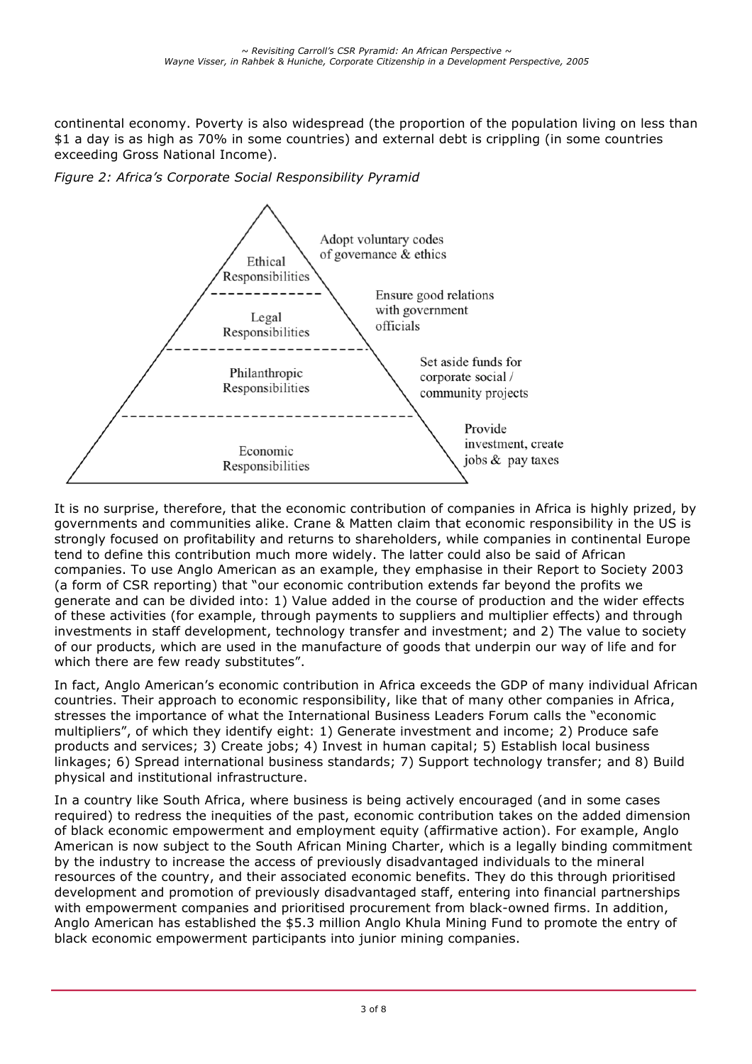continental economy. Poverty is also widespread (the proportion of the population living on less than \$1 a day is as high as 70% in some countries) and external debt is crippling (in some countries exceeding Gross National Income).

*Figure 2: Africa's Corporate Social Responsibility Pyramid*



It is no surprise, therefore, that the economic contribution of companies in Africa is highly prized, by governments and communities alike. Crane & Matten claim that economic responsibility in the US is strongly focused on profitability and returns to shareholders, while companies in continental Europe tend to define this contribution much more widely. The latter could also be said of African companies. To use Anglo American as an example, they emphasise in their Report to Society 2003 (a form of CSR reporting) that "our economic contribution extends far beyond the profits we generate and can be divided into: 1) Value added in the course of production and the wider effects of these activities (for example, through payments to suppliers and multiplier effects) and through investments in staff development, technology transfer and investment; and 2) The value to society of our products, which are used in the manufacture of goods that underpin our way of life and for which there are few ready substitutes".

In fact, Anglo American's economic contribution in Africa exceeds the GDP of many individual African countries. Their approach to economic responsibility, like that of many other companies in Africa, stresses the importance of what the International Business Leaders Forum calls the "economic multipliers", of which they identify eight: 1) Generate investment and income; 2) Produce safe products and services; 3) Create jobs; 4) Invest in human capital; 5) Establish local business linkages; 6) Spread international business standards; 7) Support technology transfer; and 8) Build physical and institutional infrastructure.

In a country like South Africa, where business is being actively encouraged (and in some cases required) to redress the inequities of the past, economic contribution takes on the added dimension of black economic empowerment and employment equity (affirmative action). For example, Anglo American is now subject to the South African Mining Charter, which is a legally binding commitment by the industry to increase the access of previously disadvantaged individuals to the mineral resources of the country, and their associated economic benefits. They do this through prioritised development and promotion of previously disadvantaged staff, entering into financial partnerships with empowerment companies and prioritised procurement from black-owned firms. In addition, Anglo American has established the \$5.3 million Anglo Khula Mining Fund to promote the entry of black economic empowerment participants into junior mining companies.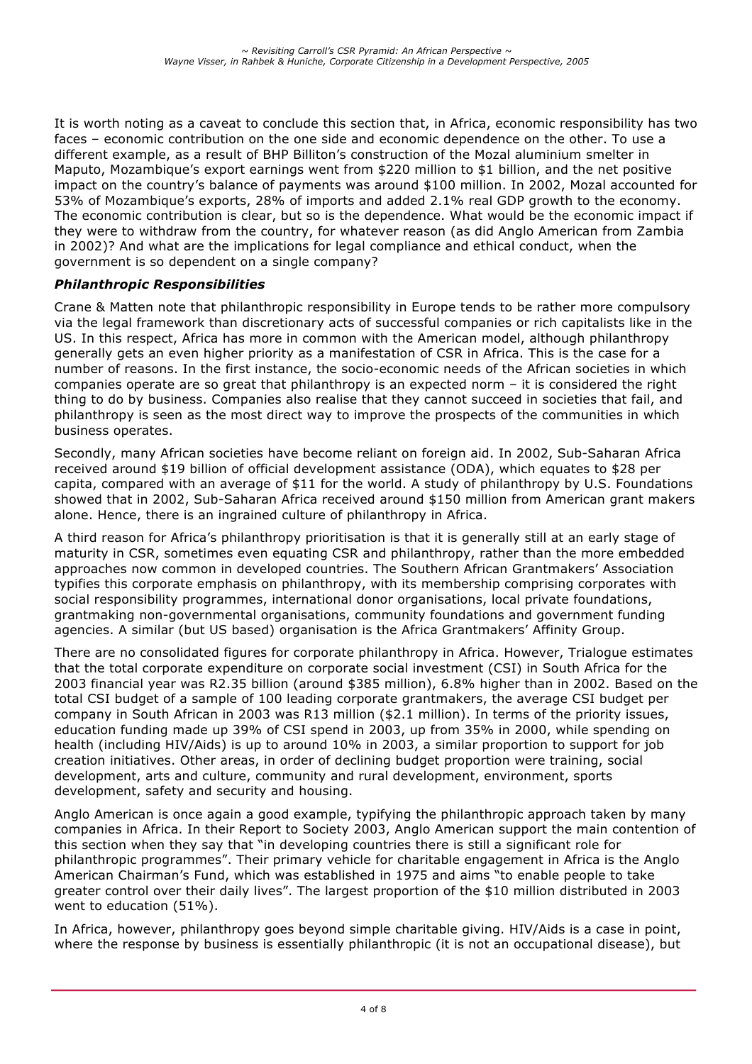It is worth noting as a caveat to conclude this section that, in Africa, economic responsibility has two faces – economic contribution on the one side and economic dependence on the other. To use a different example, as a result of BHP Billiton's construction of the Mozal aluminium smelter in Maputo, Mozambique's export earnings went from \$220 million to \$1 billion, and the net positive impact on the country's balance of payments was around \$100 million. In 2002, Mozal accounted for 53% of Mozambique's exports, 28% of imports and added 2.1% real GDP growth to the economy. The economic contribution is clear, but so is the dependence. What would be the economic impact if they were to withdraw from the country, for whatever reason (as did Anglo American from Zambia in 2002)? And what are the implications for legal compliance and ethical conduct, when the government is so dependent on a single company?

## *Philanthropic Responsibilities*

Crane & Matten note that philanthropic responsibility in Europe tends to be rather more compulsory via the legal framework than discretionary acts of successful companies or rich capitalists like in the US. In this respect, Africa has more in common with the American model, although philanthropy generally gets an even higher priority as a manifestation of CSR in Africa. This is the case for a number of reasons. In the first instance, the socio-economic needs of the African societies in which companies operate are so great that philanthropy is an expected norm – it is considered the right thing to do by business. Companies also realise that they cannot succeed in societies that fail, and philanthropy is seen as the most direct way to improve the prospects of the communities in which business operates.

Secondly, many African societies have become reliant on foreign aid. In 2002, Sub-Saharan Africa received around \$19 billion of official development assistance (ODA), which equates to \$28 per capita, compared with an average of \$11 for the world. A study of philanthropy by U.S. Foundations showed that in 2002, Sub-Saharan Africa received around \$150 million from American grant makers alone. Hence, there is an ingrained culture of philanthropy in Africa.

A third reason for Africa's philanthropy prioritisation is that it is generally still at an early stage of maturity in CSR, sometimes even equating CSR and philanthropy, rather than the more embedded approaches now common in developed countries. The Southern African Grantmakers' Association typifies this corporate emphasis on philanthropy, with its membership comprising corporates with social responsibility programmes, international donor organisations, local private foundations, grantmaking non-governmental organisations, community foundations and government funding agencies. A similar (but US based) organisation is the Africa Grantmakers' Affinity Group.

There are no consolidated figures for corporate philanthropy in Africa. However, Trialogue estimates that the total corporate expenditure on corporate social investment (CSI) in South Africa for the 2003 financial year was R2.35 billion (around \$385 million), 6.8% higher than in 2002. Based on the total CSI budget of a sample of 100 leading corporate grantmakers, the average CSI budget per company in South African in 2003 was R13 million (\$2.1 million). In terms of the priority issues, education funding made up 39% of CSI spend in 2003, up from 35% in 2000, while spending on health (including HIV/Aids) is up to around 10% in 2003, a similar proportion to support for job creation initiatives. Other areas, in order of declining budget proportion were training, social development, arts and culture, community and rural development, environment, sports development, safety and security and housing.

Anglo American is once again a good example, typifying the philanthropic approach taken by many companies in Africa. In their Report to Society 2003, Anglo American support the main contention of this section when they say that "in developing countries there is still a significant role for philanthropic programmes". Their primary vehicle for charitable engagement in Africa is the Anglo American Chairman's Fund, which was established in 1975 and aims "to enable people to take greater control over their daily lives". The largest proportion of the \$10 million distributed in 2003 went to education (51%).

In Africa, however, philanthropy goes beyond simple charitable giving. HIV/Aids is a case in point, where the response by business is essentially philanthropic (it is not an occupational disease), but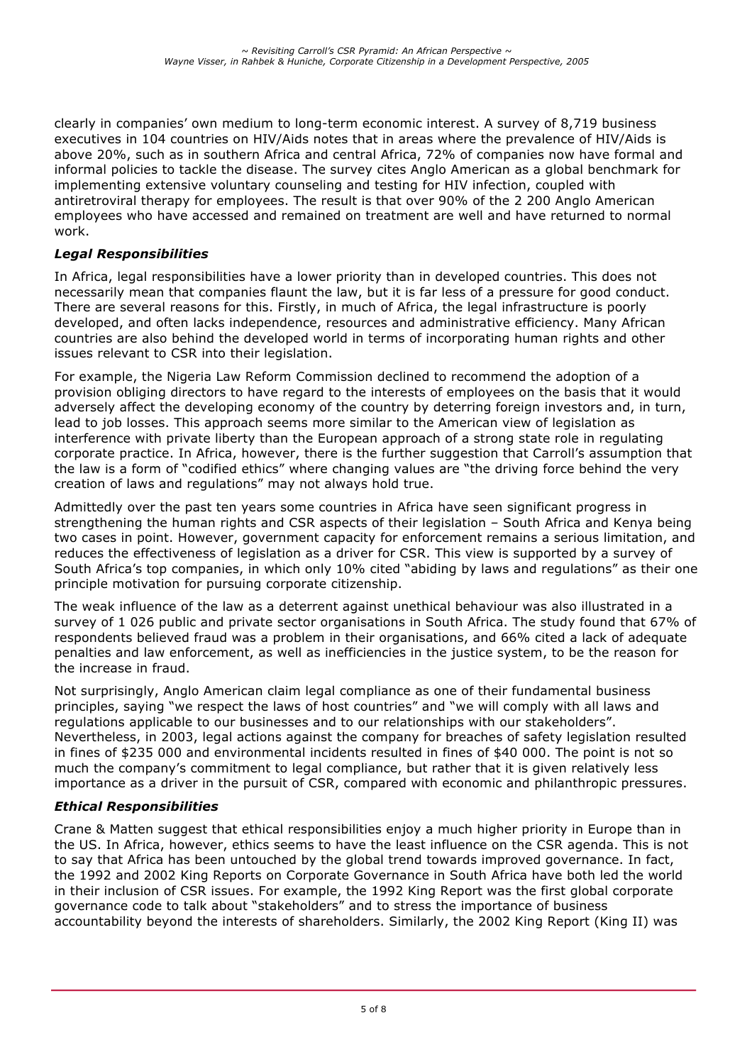clearly in companies' own medium to long-term economic interest. A survey of 8,719 business executives in 104 countries on HIV/Aids notes that in areas where the prevalence of HIV/Aids is above 20%, such as in southern Africa and central Africa, 72% of companies now have formal and informal policies to tackle the disease. The survey cites Anglo American as a global benchmark for implementing extensive voluntary counseling and testing for HIV infection, coupled with antiretroviral therapy for employees. The result is that over 90% of the 2 200 Anglo American employees who have accessed and remained on treatment are well and have returned to normal work.

## *Legal Responsibilities*

In Africa, legal responsibilities have a lower priority than in developed countries. This does not necessarily mean that companies flaunt the law, but it is far less of a pressure for good conduct. There are several reasons for this. Firstly, in much of Africa, the legal infrastructure is poorly developed, and often lacks independence, resources and administrative efficiency. Many African countries are also behind the developed world in terms of incorporating human rights and other issues relevant to CSR into their legislation.

For example, the Nigeria Law Reform Commission declined to recommend the adoption of a provision obliging directors to have regard to the interests of employees on the basis that it would adversely affect the developing economy of the country by deterring foreign investors and, in turn, lead to job losses. This approach seems more similar to the American view of legislation as interference with private liberty than the European approach of a strong state role in regulating corporate practice. In Africa, however, there is the further suggestion that Carroll's assumption that the law is a form of "codified ethics" where changing values are "the driving force behind the very creation of laws and regulations" may not always hold true.

Admittedly over the past ten years some countries in Africa have seen significant progress in strengthening the human rights and CSR aspects of their legislation – South Africa and Kenya being two cases in point. However, government capacity for enforcement remains a serious limitation, and reduces the effectiveness of legislation as a driver for CSR. This view is supported by a survey of South Africa's top companies, in which only 10% cited "abiding by laws and regulations" as their one principle motivation for pursuing corporate citizenship.

The weak influence of the law as a deterrent against unethical behaviour was also illustrated in a survey of 1 026 public and private sector organisations in South Africa. The study found that 67% of respondents believed fraud was a problem in their organisations, and 66% cited a lack of adequate penalties and law enforcement, as well as inefficiencies in the justice system, to be the reason for the increase in fraud.

Not surprisingly, Anglo American claim legal compliance as one of their fundamental business principles, saying "we respect the laws of host countries" and "we will comply with all laws and regulations applicable to our businesses and to our relationships with our stakeholders". Nevertheless, in 2003, legal actions against the company for breaches of safety legislation resulted in fines of \$235 000 and environmental incidents resulted in fines of \$40 000. The point is not so much the company's commitment to legal compliance, but rather that it is given relatively less importance as a driver in the pursuit of CSR, compared with economic and philanthropic pressures.

## *Ethical Responsibilities*

Crane & Matten suggest that ethical responsibilities enjoy a much higher priority in Europe than in the US. In Africa, however, ethics seems to have the least influence on the CSR agenda. This is not to say that Africa has been untouched by the global trend towards improved governance. In fact, the 1992 and 2002 King Reports on Corporate Governance in South Africa have both led the world in their inclusion of CSR issues. For example, the 1992 King Report was the first global corporate governance code to talk about "stakeholders" and to stress the importance of business accountability beyond the interests of shareholders. Similarly, the 2002 King Report (King II) was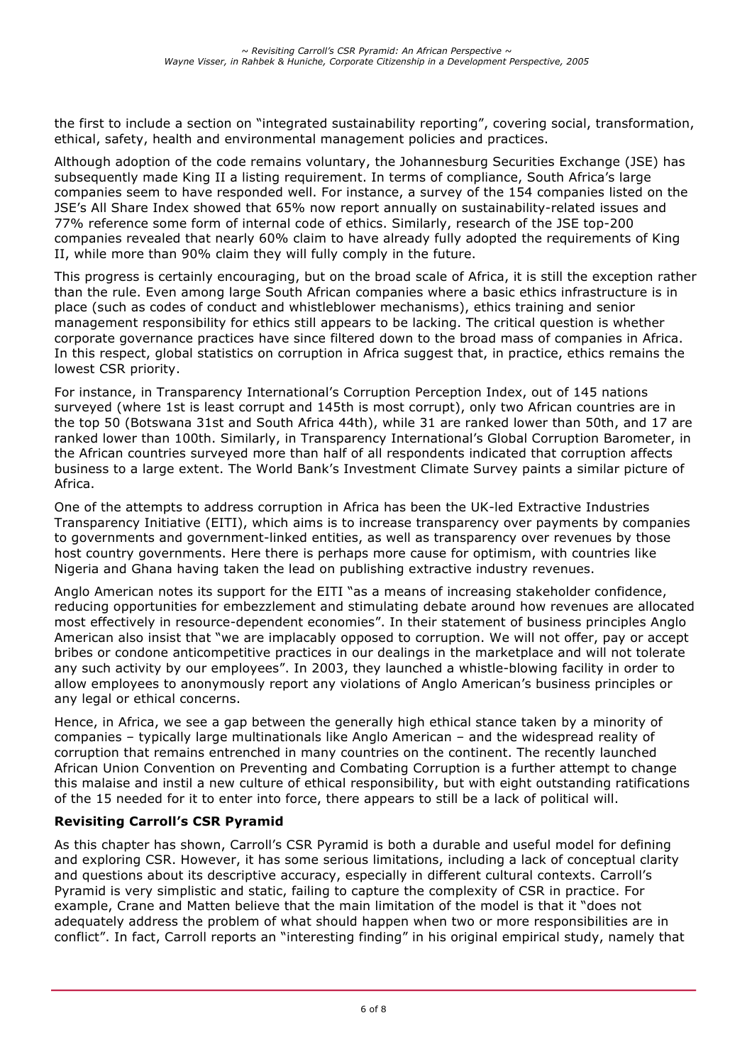the first to include a section on "integrated sustainability reporting", covering social, transformation, ethical, safety, health and environmental management policies and practices.

Although adoption of the code remains voluntary, the Johannesburg Securities Exchange (JSE) has subsequently made King II a listing requirement. In terms of compliance, South Africa's large companies seem to have responded well. For instance, a survey of the 154 companies listed on the JSE's All Share Index showed that 65% now report annually on sustainability-related issues and 77% reference some form of internal code of ethics. Similarly, research of the JSE top-200 companies revealed that nearly 60% claim to have already fully adopted the requirements of King II, while more than 90% claim they will fully comply in the future.

This progress is certainly encouraging, but on the broad scale of Africa, it is still the exception rather than the rule. Even among large South African companies where a basic ethics infrastructure is in place (such as codes of conduct and whistleblower mechanisms), ethics training and senior management responsibility for ethics still appears to be lacking. The critical question is whether corporate governance practices have since filtered down to the broad mass of companies in Africa. In this respect, global statistics on corruption in Africa suggest that, in practice, ethics remains the lowest CSR priority.

For instance, in Transparency International's Corruption Perception Index, out of 145 nations surveyed (where 1st is least corrupt and 145th is most corrupt), only two African countries are in the top 50 (Botswana 31st and South Africa 44th), while 31 are ranked lower than 50th, and 17 are ranked lower than 100th. Similarly, in Transparency International's Global Corruption Barometer, in the African countries surveyed more than half of all respondents indicated that corruption affects business to a large extent. The World Bank's Investment Climate Survey paints a similar picture of Africa.

One of the attempts to address corruption in Africa has been the UK-led Extractive Industries Transparency Initiative (EITI), which aims is to increase transparency over payments by companies to governments and government-linked entities, as well as transparency over revenues by those host country governments. Here there is perhaps more cause for optimism, with countries like Nigeria and Ghana having taken the lead on publishing extractive industry revenues.

Anglo American notes its support for the EITI "as a means of increasing stakeholder confidence, reducing opportunities for embezzlement and stimulating debate around how revenues are allocated most effectively in resource-dependent economies". In their statement of business principles Anglo American also insist that "we are implacably opposed to corruption. We will not offer, pay or accept bribes or condone anticompetitive practices in our dealings in the marketplace and will not tolerate any such activity by our employees". In 2003, they launched a whistle-blowing facility in order to allow employees to anonymously report any violations of Anglo American's business principles or any legal or ethical concerns.

Hence, in Africa, we see a gap between the generally high ethical stance taken by a minority of companies – typically large multinationals like Anglo American – and the widespread reality of corruption that remains entrenched in many countries on the continent. The recently launched African Union Convention on Preventing and Combating Corruption is a further attempt to change this malaise and instil a new culture of ethical responsibility, but with eight outstanding ratifications of the 15 needed for it to enter into force, there appears to still be a lack of political will.

## **Revisiting Carroll's CSR Pyramid**

As this chapter has shown, Carroll's CSR Pyramid is both a durable and useful model for defining and exploring CSR. However, it has some serious limitations, including a lack of conceptual clarity and questions about its descriptive accuracy, especially in different cultural contexts. Carroll's Pyramid is very simplistic and static, failing to capture the complexity of CSR in practice. For example, Crane and Matten believe that the main limitation of the model is that it "does not adequately address the problem of what should happen when two or more responsibilities are in conflict". In fact, Carroll reports an "interesting finding" in his original empirical study, namely that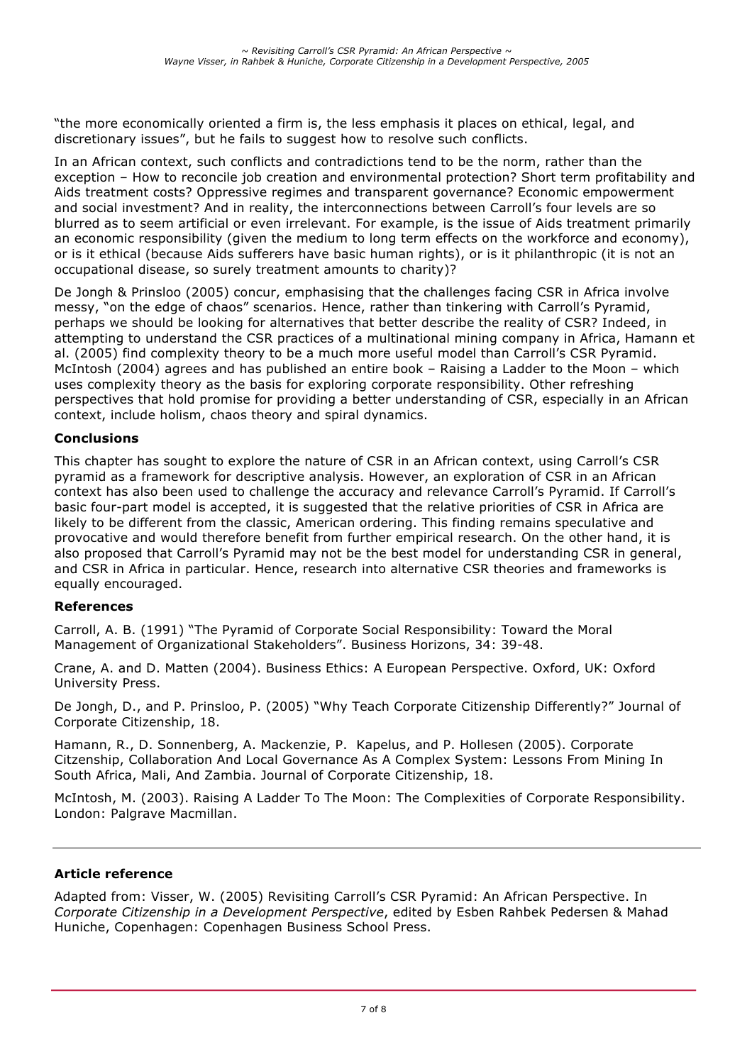"the more economically oriented a firm is, the less emphasis it places on ethical, legal, and discretionary issues", but he fails to suggest how to resolve such conflicts.

In an African context, such conflicts and contradictions tend to be the norm, rather than the exception – How to reconcile job creation and environmental protection? Short term profitability and Aids treatment costs? Oppressive regimes and transparent governance? Economic empowerment and social investment? And in reality, the interconnections between Carroll's four levels are so blurred as to seem artificial or even irrelevant. For example, is the issue of Aids treatment primarily an economic responsibility (given the medium to long term effects on the workforce and economy), or is it ethical (because Aids sufferers have basic human rights), or is it philanthropic (it is not an occupational disease, so surely treatment amounts to charity)?

De Jongh & Prinsloo (2005) concur, emphasising that the challenges facing CSR in Africa involve messy, "on the edge of chaos" scenarios. Hence, rather than tinkering with Carroll's Pyramid, perhaps we should be looking for alternatives that better describe the reality of CSR? Indeed, in attempting to understand the CSR practices of a multinational mining company in Africa, Hamann et al. (2005) find complexity theory to be a much more useful model than Carroll's CSR Pyramid. McIntosh (2004) agrees and has published an entire book – Raising a Ladder to the Moon – which uses complexity theory as the basis for exploring corporate responsibility. Other refreshing perspectives that hold promise for providing a better understanding of CSR, especially in an African context, include holism, chaos theory and spiral dynamics.

#### **Conclusions**

This chapter has sought to explore the nature of CSR in an African context, using Carroll's CSR pyramid as a framework for descriptive analysis. However, an exploration of CSR in an African context has also been used to challenge the accuracy and relevance Carroll's Pyramid. If Carroll's basic four-part model is accepted, it is suggested that the relative priorities of CSR in Africa are likely to be different from the classic, American ordering. This finding remains speculative and provocative and would therefore benefit from further empirical research. On the other hand, it is also proposed that Carroll's Pyramid may not be the best model for understanding CSR in general, and CSR in Africa in particular. Hence, research into alternative CSR theories and frameworks is equally encouraged.

#### **References**

Carroll, A. B. (1991) "The Pyramid of Corporate Social Responsibility: Toward the Moral Management of Organizational Stakeholders". Business Horizons, 34: 39-48.

Crane, A. and D. Matten (2004). Business Ethics: A European Perspective. Oxford, UK: Oxford University Press.

De Jongh, D., and P. Prinsloo, P. (2005) "Why Teach Corporate Citizenship Differently?" Journal of Corporate Citizenship, 18.

Hamann, R., D. Sonnenberg, A. Mackenzie, P. Kapelus, and P. Hollesen (2005). Corporate Citzenship, Collaboration And Local Governance As A Complex System: Lessons From Mining In South Africa, Mali, And Zambia. Journal of Corporate Citizenship, 18.

McIntosh, M. (2003). Raising A Ladder To The Moon: The Complexities of Corporate Responsibility. London: Palgrave Macmillan.

#### **Article reference**

Adapted from: Visser, W. (2005) Revisiting Carroll's CSR Pyramid: An African Perspective. In *Corporate Citizenship in a Development Perspective*, edited by Esben Rahbek Pedersen & Mahad Huniche, Copenhagen: Copenhagen Business School Press.